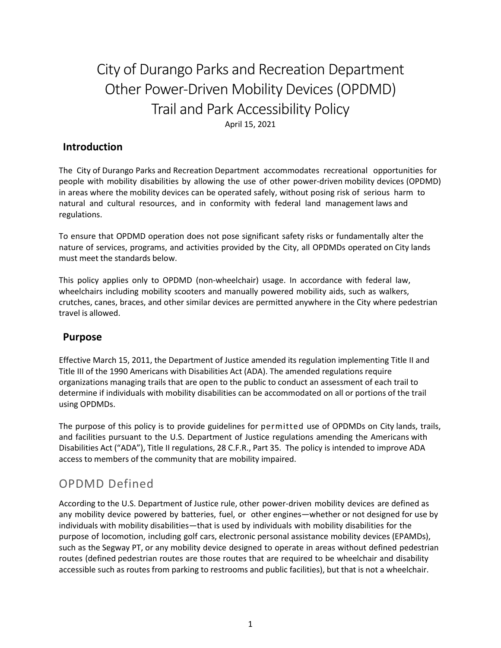# City of Durango Parks and Recreation Department Other Power-Driven Mobility Devices (OPDMD) Trail and Park Accessibility Policy

April 15, 2021

### **Introduction**

The City of Durango Parks and Recreation Department accommodates recreational opportunities for people with mobility disabilities by allowing the use of other power‐driven mobility devices (OPDMD) in areas where the mobility devices can be operated safely, without posing risk of serious harm to natural and cultural resources, and in conformity with federal land management laws and regulations.

To ensure that OPDMD operation does not pose significant safety risks or fundamentally alter the nature of services, programs, and activities provided by the City, all OPDMDs operated on City lands must meet the standards below.

This policy applies only to OPDMD (non‐wheelchair) usage. In accordance with federal law, wheelchairs including mobility scooters and manually powered mobility aids, such as walkers, crutches, canes, braces, and other similar devices are permitted anywhere in the City where pedestrian travel is allowed.

### **Purpose**

Effective March 15, 2011, the Department of Justice amended its regulation implementing Title II and Title III of the 1990 Americans with Disabilities Act (ADA). The amended regulations require organizations managing trails that are open to the public to conduct an assessment of each trail to determine if individuals with mobility disabilities can be accommodated on all or portions of the trail using OPDMDs.

The purpose of this policy is to provide guidelines for permitted use of OPDMDs on City lands, trails, and facilities pursuant to the U.S. Department of Justice regulations amending the Americans with Disabilities Act ("ADA"), Title II regulations, 28 C.F.R., Part 35. The policy is intended to improve ADA access to members of the community that are mobility impaired.

## OPDMD Defined

According to the U.S. Department of Justice rule, other power‐driven mobility devices are defined as any mobility device powered by batteries, fuel, or other engines—whether or not designed for use by individuals with mobility disabilities—that is used by individuals with mobility disabilities for the purpose of locomotion, including golf cars, electronic personal assistance mobility devices (EPAMDs), such as the Segway PT, or any mobility device designed to operate in areas without defined pedestrian routes (defined pedestrian routes are those routes that are required to be wheelchair and disability accessible such as routes from parking to restrooms and public facilities), but that is not a wheelchair.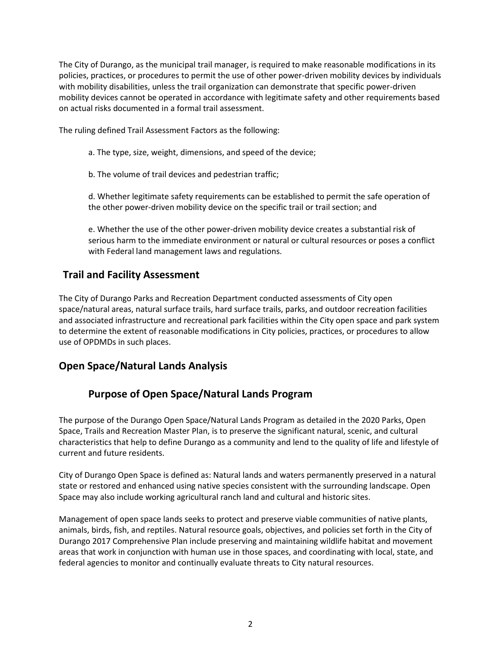The City of Durango, as the municipal trail manager, is required to make reasonable modifications in its policies, practices, or procedures to permit the use of other power-driven mobility devices by individuals with mobility disabilities, unless the trail organization can demonstrate that specific power-driven mobility devices cannot be operated in accordance with legitimate safety and other requirements based on actual risks documented in a formal trail assessment.

The ruling defined Trail Assessment Factors as the following:

- a. The type, size, weight, dimensions, and speed of the device;
- b. The volume of trail devices and pedestrian traffic;

d. Whether legitimate safety requirements can be established to permit the safe operation of the other power-driven mobility device on the specific trail or trail section; and

e. Whether the use of the other power-driven mobility device creates a substantial risk of serious harm to the immediate environment or natural or cultural resources or poses a conflict with Federal land management laws and regulations.

### **Trail and Facility Assessment**

The City of Durango Parks and Recreation Department conducted assessments of City open space/natural areas, natural surface trails, hard surface trails, parks, and outdoor recreation facilities and associated infrastructure and recreational park facilities within the City open space and park system to determine the extent of reasonable modifications in City policies, practices, or procedures to allow use of OPDMDs in such places.

### **Open Space/Natural Lands Analysis**

### **Purpose of Open Space/Natural Lands Program**

The purpose of the Durango Open Space/Natural Lands Program as detailed in the 2020 Parks, Open Space, Trails and Recreation Master Plan, is to preserve the significant natural, scenic, and cultural characteristics that help to define Durango as a community and lend to the quality of life and lifestyle of current and future residents.

City of Durango Open Space is defined as: Natural lands and waters permanently preserved in a natural state or restored and enhanced using native species consistent with the surrounding landscape. Open Space may also include working agricultural ranch land and cultural and historic sites.

Management of open space lands seeks to protect and preserve viable communities of native plants, animals, birds, fish, and reptiles. Natural resource goals, objectives, and policies set forth in the City of Durango 2017 Comprehensive Plan include preserving and maintaining wildlife habitat and movement areas that work in conjunction with human use in those spaces, and coordinating with local, state, and federal agencies to monitor and continually evaluate threats to City natural resources.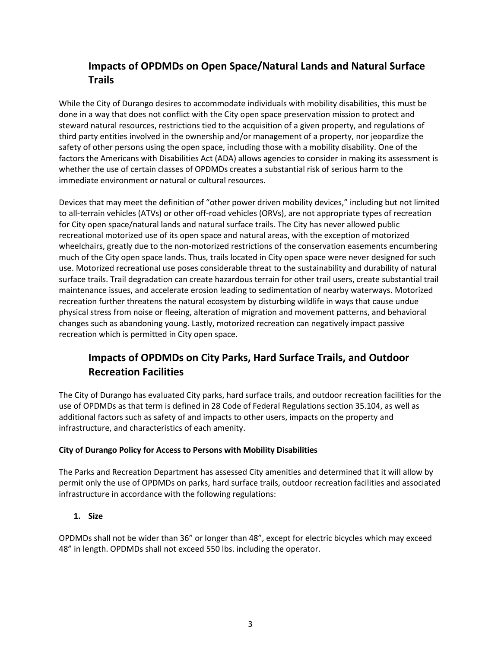### **Impacts of OPDMDs on Open Space/Natural Lands and Natural Surface Trails**

While the City of Durango desires to accommodate individuals with mobility disabilities, this must be done in a way that does not conflict with the City open space preservation mission to protect and steward natural resources, restrictions tied to the acquisition of a given property, and regulations of third party entities involved in the ownership and/or management of a property, nor jeopardize the safety of other persons using the open space, including those with a mobility disability. One of the factors the Americans with Disabilities Act (ADA) allows agencies to consider in making its assessment is whether the use of certain classes of OPDMDs creates a substantial risk of serious harm to the immediate environment or natural or cultural resources.

Devices that may meet the definition of "other power driven mobility devices," including but not limited to all-terrain vehicles (ATVs) or other off-road vehicles (ORVs), are not appropriate types of recreation for City open space/natural lands and natural surface trails. The City has never allowed public recreational motorized use of its open space and natural areas, with the exception of motorized wheelchairs, greatly due to the non-motorized restrictions of the conservation easements encumbering much of the City open space lands. Thus, trails located in City open space were never designed for such use. Motorized recreational use poses considerable threat to the sustainability and durability of natural surface trails. Trail degradation can create hazardous terrain for other trail users, create substantial trail maintenance issues, and accelerate erosion leading to sedimentation of nearby waterways. Motorized recreation further threatens the natural ecosystem by disturbing wildlife in ways that cause undue physical stress from noise or fleeing, alteration of migration and movement patterns, and behavioral changes such as abandoning young. Lastly, motorized recreation can negatively impact passive recreation which is permitted in City open space.

### **Impacts of OPDMDs on City Parks, Hard Surface Trails, and Outdoor Recreation Facilities**

The City of Durango has evaluated City parks, hard surface trails, and outdoor recreation facilities for the use of OPDMDs as that term is defined in 28 Code of Federal Regulations section 35.104, as well as additional factors such as safety of and impacts to other users, impacts on the property and infrastructure, and characteristics of each amenity.

#### **City of Durango Policy for Access to Persons with Mobility Disabilities**

The Parks and Recreation Department has assessed City amenities and determined that it will allow by permit only the use of OPDMDs on parks, hard surface trails, outdoor recreation facilities and associated infrastructure in accordance with the following regulations:

#### **1. Size**

OPDMDs shall not be wider than 36" or longer than 48", except for electric bicycles which may exceed 48" in length. OPDMDs shall not exceed 550 lbs. including the operator.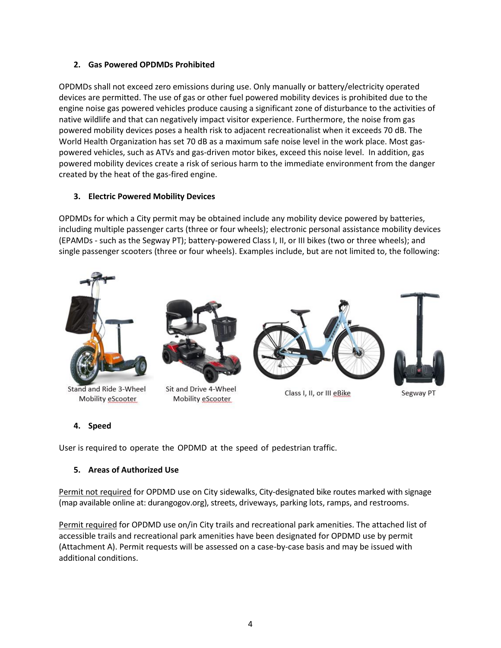#### **2. Gas Powered OPDMDs Prohibited**

OPDMDs shall not exceed zero emissions during use. Only manually or battery/electricity operated devices are permitted. The use of gas or other fuel powered mobility devices is prohibited due to the engine noise gas powered vehicles produce causing a significant zone of disturbance to the activities of native wildlife and that can negatively impact visitor experience. Furthermore, the noise from gas powered mobility devices poses a health risk to adjacent recreationalist when it exceeds 70 dB. The World Health Organization has set 70 dB as a maximum safe noise level in the work place. Most gaspowered vehicles, such as ATVs and gas-driven motor bikes, exceed this noise level. In addition, gas powered mobility devices create a risk of serious harm to the immediate environment from the danger created by the heat of the gas-fired engine.

#### **3. Electric Powered Mobility Devices**

OPDMDs for which a City permit may be obtained include any mobility device powered by batteries, including multiple passenger carts (three or four wheels); electronic personal assistance mobility devices (EPAMDs - such as the Segway PT); battery-powered Class I, II, or III bikes (two or three wheels); and single passenger scooters (three or four wheels). Examples include, but are not limited to, the following:



#### **4. Speed**

User is required to operate the OPDMD at the speed of pedestrian traffic.

#### **5. Areas of Authorized Use**

Permit not required for OPDMD use on City sidewalks, City-designated bike routes marked with signage (map available online at: durangogov.org), streets, driveways, parking lots, ramps, and restrooms.

Permit required for OPDMD use on/in City trails and recreational park amenities. The attached list of accessible trails and recreational park amenities have been designated for OPDMD use by permit (Attachment A). Permit requests will be assessed on a case-by-case basis and may be issued with additional conditions.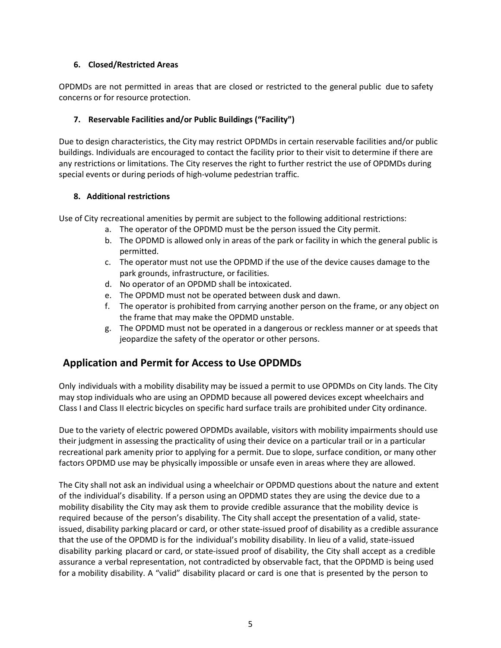#### **6. Closed/Restricted Areas**

OPDMDs are not permitted in areas that are closed or restricted to the general public due to safety concerns or for resource protection.

#### **7. Reservable Facilities and/or Public Buildings ("Facility")**

Due to design characteristics, the City may restrict OPDMDs in certain reservable facilities and/or public buildings. Individuals are encouraged to contact the facility prior to their visit to determine if there are any restrictions or limitations. The City reserves the right to further restrict the use of OPDMDs during special events or during periods of high-volume pedestrian traffic.

#### **8. Additional restrictions**

Use of City recreational amenities by permit are subject to the following additional restrictions:

- a. The operator of the OPDMD must be the person issued the City permit.
- b. The OPDMD is allowed only in areas of the park or facility in which the general public is permitted.
- c. The operator must not use the OPDMD if the use of the device causes damage to the park grounds, infrastructure, or facilities.
- d. No operator of an OPDMD shall be intoxicated.
- e. The OPDMD must not be operated between dusk and dawn.
- f. The operator is prohibited from carrying another person on the frame, or any object on the frame that may make the OPDMD unstable.
- g. The OPDMD must not be operated in a dangerous or reckless manner or at speeds that jeopardize the safety of the operator or other persons.

### **Application and Permit for Access to Use OPDMDs**

Only individuals with a mobility disability may be issued a permit to use OPDMDs on City lands. The City may stop individuals who are using an OPDMD because all powered devices except wheelchairs and Class I and Class II electric bicycles on specific hard surface trails are prohibited under City ordinance.

Due to the variety of electric powered OPDMDs available, visitors with mobility impairments should use their judgment in assessing the practicality of using their device on a particular trail or in a particular recreational park amenity prior to applying for a permit. Due to slope, surface condition, or many other factors OPDMD use may be physically impossible or unsafe even in areas where they are allowed.

The City shall not ask an individual using a wheelchair or OPDMD questions about the nature and extent of the individual's disability. If a person using an OPDMD states they are using the device due to a mobility disability the City may ask them to provide credible assurance that the mobility device is required because of the person's disability. The City shall accept the presentation of a valid, state‐ issued, disability parking placard or card, or other state‐issued proof of disability as a credible assurance that the use of the OPDMD is for the individual's mobility disability. In lieu of a valid, state‐issued disability parking placard or card, or state‐issued proof of disability, the City shall accept as a credible assurance a verbal representation, not contradicted by observable fact, that the OPDMD is being used for a mobility disability. A "valid" disability placard or card is one that is presented by the person to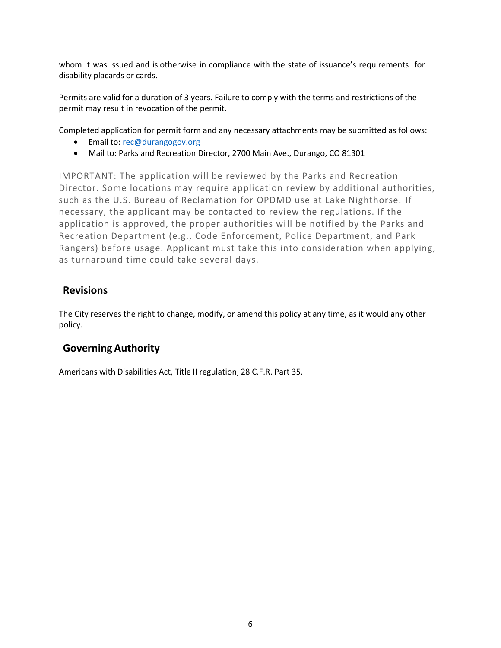whom it was issued and is otherwise in compliance with the state of issuance's requirements for disability placards or cards.

Permits are valid for a duration of 3 years. Failure to comply with the terms and restrictions of the permit may result in revocation of the permit.

Completed application for permit form and any necessary attachments may be submitted as follows:

- Email to: [rec@durangogov.org](mailto:rec@durangogov.org)
- Mail to: Parks and Recreation Director, 2700 Main Ave., Durango, CO 81301

IMPORTANT: The application will be reviewed by the Parks and Recreation Director. Some locations may require application review by additional authorities, such as the U.S. Bureau of Reclamation for OPDMD use at Lake Nighthorse. If necessary, the applicant may be contacted to review the regulations. If the application is approved, the proper authorities will be notified by the Parks and Recreation Department (e.g., Code Enforcement, Police Department, and Park Rangers) before usage. Applicant must take this into consideration when applying, as turnaround time could take several days.

#### **Revisions**

The City reserves the right to change, modify, or amend this policy at any time, as it would any other policy.

### **Governing Authority**

Americans with Disabilities Act, Title II regulation, 28 C.F.R. Part 35.